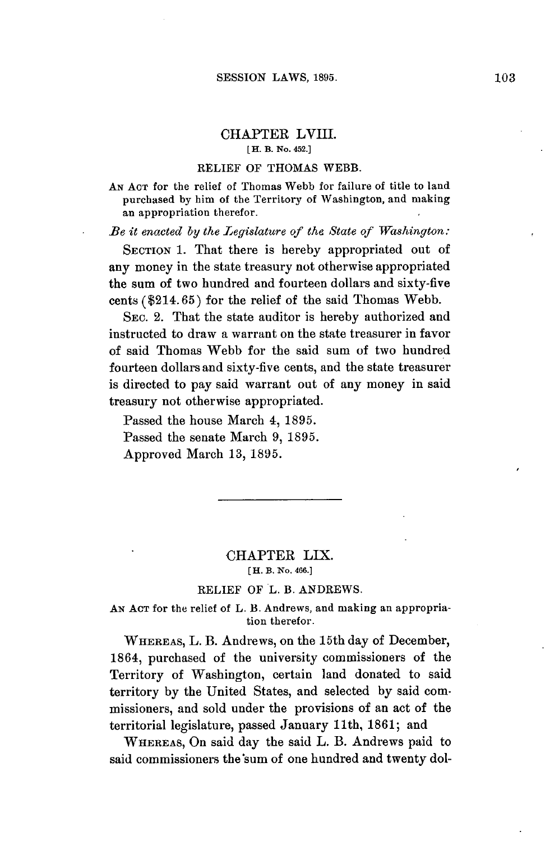## CHAPTER LVIII. **[ H. B. No. 452.]**

#### RELIEF OF **THOMAS** WEBB.

**AN ACT** for the relief of Thomas Webb for failure of title to land purchased **by** him of the Territory of Washington, and making an appropriation therefor.

*Be it enacted by the Legislature of the State of Washington:*

**SECTION 1.** That there is hereby appropriated out of any money in the state treasury not otherwise appropriated the sum of two hundred and fourteen dollars and sixty-five cents (\$214.65) for the relief of the said Thomas Webb.

SEC. 2. That the state auditor is hereby authorized and instructed to draw a warrant on the state treasurer in favor of said Thomas Webb for the said sum of two hundred fourteen dollars and sixty-five cents, and the state treasurer is directed to pay said warrant out of any money in said treasury not otherwise appropriated.

Passed the house March 4, **1895.** Passed the senate March **9, 1895.** Approved March **13, 1895.**

## CHAPTER LIX. **[H. B. No. 466.]**

## RELIEF OF L. B. ANDREWS.

**AN ACT** for the relief of L. B. Andrews, and making an appropriation therefor.

WHEREAS, L. B. Andrews, on the 15th day of December, 1864, purchased of the university commissioners of the Territory of Washington, certain land donated to said territory **by** the United States, and selected **by** said commissioners, and sold under the provisions of an act of the territorial legislature, passed January 11th, **1861;** and

WHEREAS, On said day the said L. B. Andrews paid to said commissioners the sum of one hundred and twenty dol